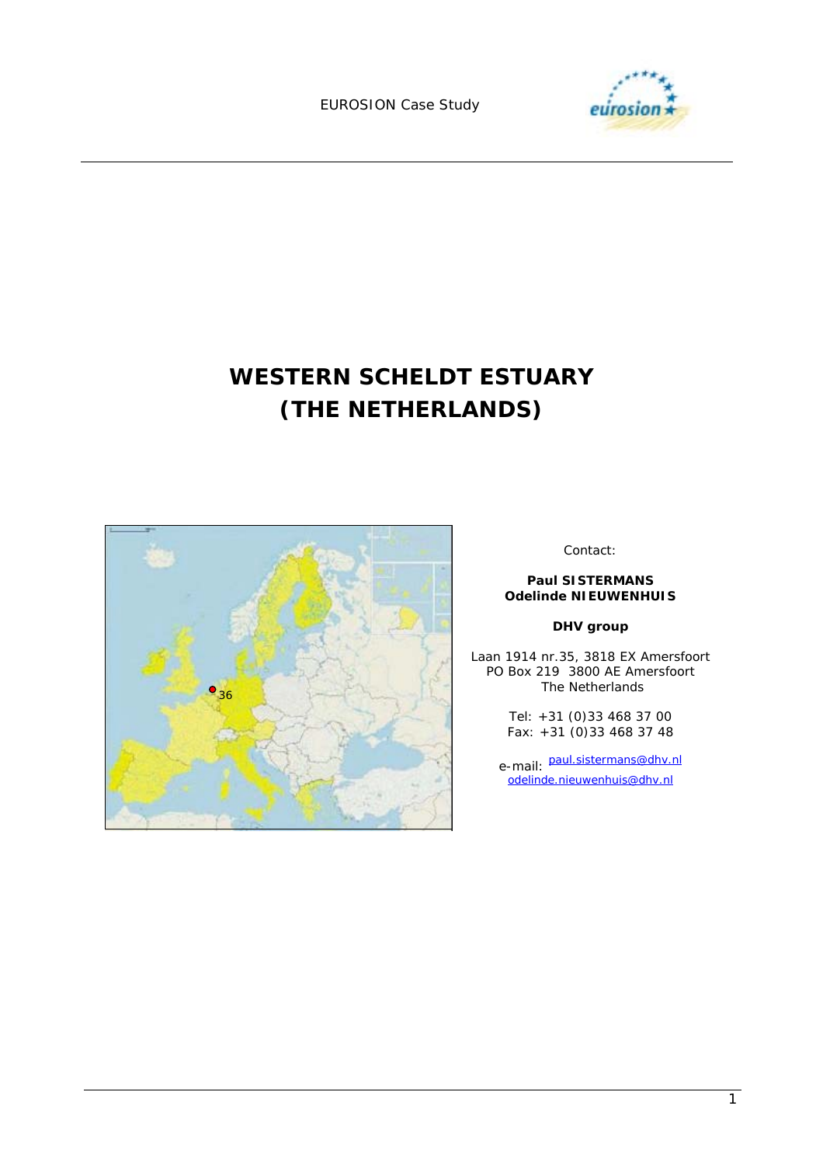EUROSION Case Study



# **WESTERN SCHELDT ESTUARY (THE NETHERLANDS)**



Contact:

#### **Paul SISTERMANS Odelinde NIEUWENHUIS**

#### **DHV group**

Laan 1914 nr.35, 3818 EX Amersfoort PO Box 219 3800 AE Amersfoort The Netherlands

> Tel: +31 (0)33 468 37 00 Fax: +31 (0)33 468 37 48

e-mail: paul.sistermans@dhv.nl odelinde.nieuwenhuis@dhv.nl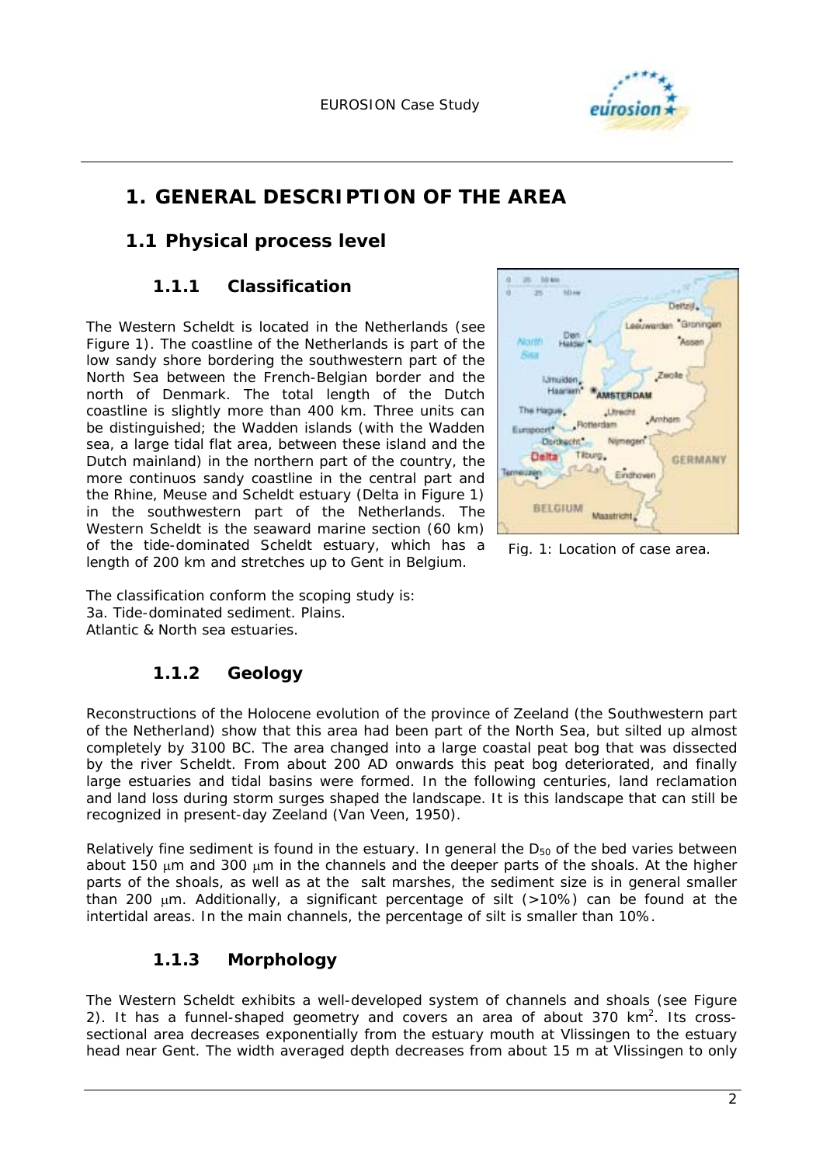

## **1. GENERAL DESCRIPTION OF THE AREA**

### **1.1 Physical process level**

### **1.1.1 Classification**

The Western Scheldt is located in the Netherlands (see Figure 1). The coastline of the Netherlands is part of the low sandy shore bordering the southwestern part of the North Sea between the French-Belgian border and the north of Denmark. The total length of the Dutch coastline is slightly more than 400 km. Three units can be distinguished; the Wadden islands (with the Wadden sea, a large tidal flat area, between these island and the Dutch mainland) in the northern part of the country, the more continuos sandy coastline in the central part and the Rhine, Meuse and Scheldt estuary (Delta in Figure 1) in the southwestern part of the Netherlands. The Western Scheldt is the seaward marine section (60 km) of the tide-dominated Scheldt estuary, which has a length of 200 km and stretches up to Gent in Belgium.



*Fig. 1: Location of case area.* 

The classification conform the scoping study is: 3a. Tide-dominated sediment. Plains. Atlantic & North sea estuaries.

### **1.1.2 Geology**

Reconstructions of the Holocene evolution of the province of Zeeland (the Southwestern part of the Netherland) show that this area had been part of the North Sea, but silted up almost completely by 3100 BC. The area changed into a large coastal peat bog that was dissected by the river Scheldt. From about 200 AD onwards this peat bog deteriorated, and finally large estuaries and tidal basins were formed. In the following centuries, land reclamation and land loss during storm surges shaped the landscape. It is this landscape that can still be recognized in present-day Zeeland (Van Veen, 1950).

Relatively fine sediment is found in the estuary. In general the  $D_{50}$  of the bed varies between about 150 µm and 300 µm in the channels and the deeper parts of the shoals. At the higher parts of the shoals, as well as at the salt marshes, the sediment size is in general smaller than 200  $\mu$ m. Additionally, a significant percentage of silt ( $>10\%$ ) can be found at the intertidal areas. In the main channels, the percentage of silt is smaller than 10%.

### **1.1.3 Morphology**

The Western Scheldt exhibits a well-developed system of channels and shoals (see Figure 2). It has a funnel-shaped geometry and covers an area of about 370  $km^2$ . Its crosssectional area decreases exponentially from the estuary mouth at Vlissingen to the estuary head near Gent. The width averaged depth decreases from about 15 m at Vlissingen to only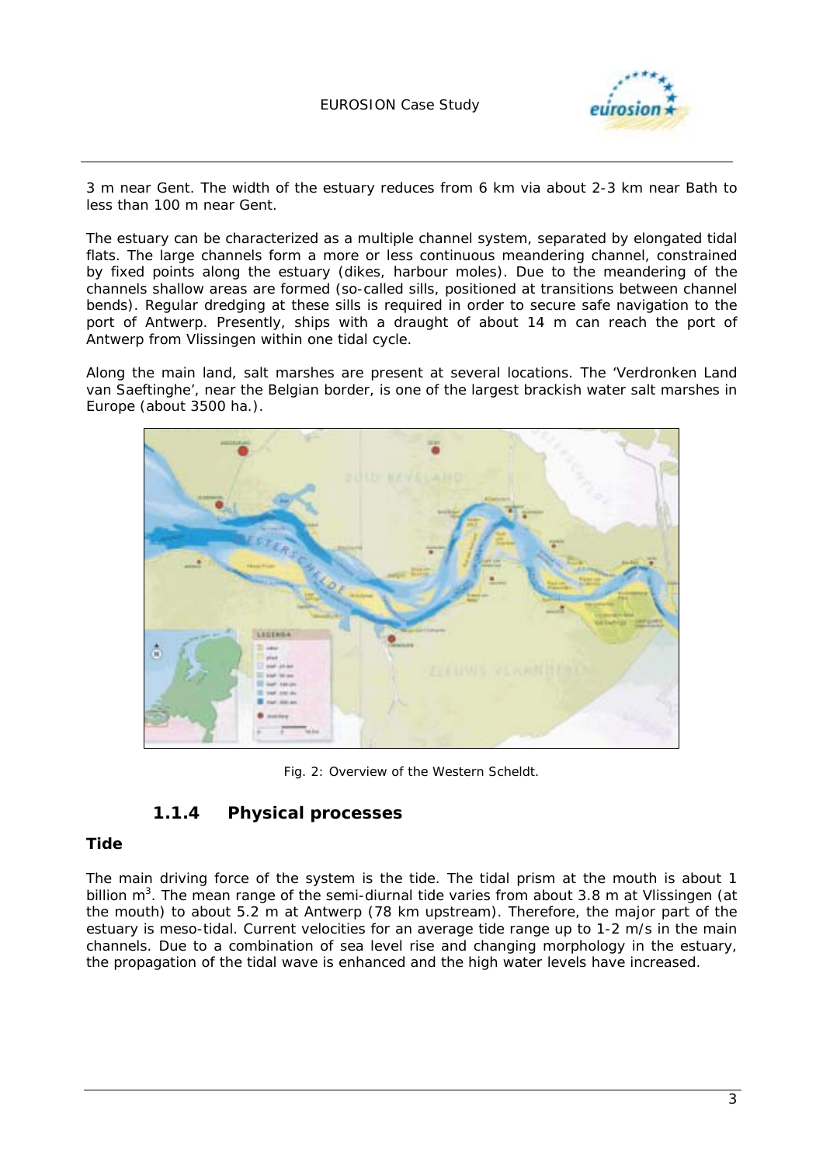

3 m near Gent. The width of the estuary reduces from 6 km via about 2-3 km near Bath to less than 100 m near Gent.

The estuary can be characterized as a multiple channel system, separated by elongated tidal flats. The large channels form a more or less continuous meandering channel, constrained by fixed points along the estuary (dikes, harbour moles). Due to the meandering of the channels shallow areas are formed (so-called sills, positioned at transitions between channel bends). Regular dredging at these sills is required in order to secure safe navigation to the port of Antwerp. Presently, ships with a draught of about 14 m can reach the port of Antwerp from Vlissingen within one tidal cycle.

Along the main land, salt marshes are present at several locations. The 'Verdronken Land van Saeftinghe', near the Belgian border, is one of the largest brackish water salt marshes in Europe (about 3500 ha.).



*Fig. 2: Overview of the Western Scheldt.* 

### **1.1.4 Physical processes**

#### **Tide**

The main driving force of the system is the tide. The tidal prism at the mouth is about 1 billion m<sup>3</sup>. The mean range of the semi-diurnal tide varies from about 3.8 m at Vlissingen (at the mouth) to about 5.2 m at Antwerp (78 km upstream). Therefore, the major part of the estuary is meso-tidal. Current velocities for an average tide range up to 1-2 m/s in the main channels. Due to a combination of sea level rise and changing morphology in the estuary, the propagation of the tidal wave is enhanced and the high water levels have increased.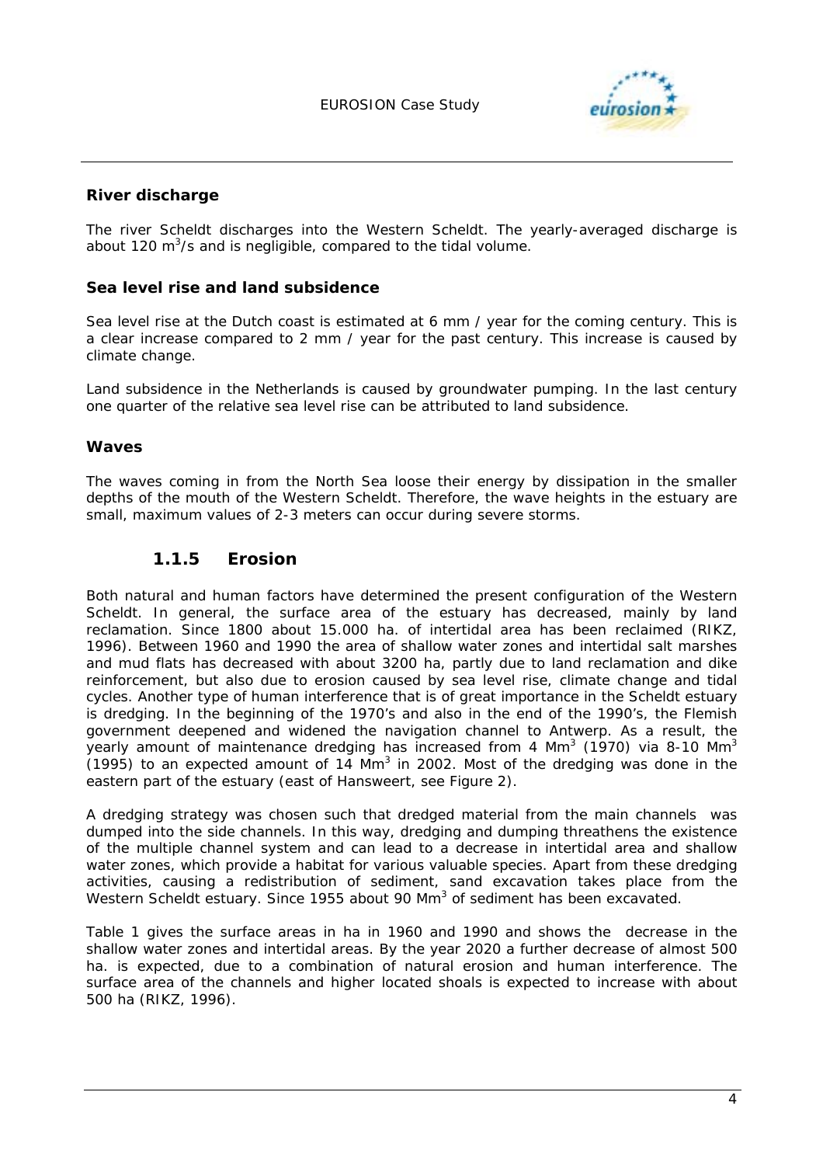

#### **River discharge**

The river Scheldt discharges into the Western Scheldt. The yearly-averaged discharge is about 120 m<sup>3</sup>/s and is negligible, compared to the tidal volume.

#### **Sea level rise and land subsidence**

Sea level rise at the Dutch coast is estimated at 6 mm / year for the coming century. This is a clear increase compared to 2 mm / year for the past century. This increase is caused by climate change.

Land subsidence in the Netherlands is caused by groundwater pumping. In the last century one quarter of the relative sea level rise can be attributed to land subsidence.

#### **Waves**

The waves coming in from the North Sea loose their energy by dissipation in the smaller depths of the mouth of the Western Scheldt. Therefore, the wave heights in the estuary are small, maximum values of 2-3 meters can occur during severe storms.

#### **1.1.5 Erosion**

Both natural and human factors have determined the present configuration of the Western Scheldt. In general, the surface area of the estuary has decreased, mainly by land reclamation. Since 1800 about 15.000 ha. of intertidal area has been reclaimed (RIKZ, 1996). Between 1960 and 1990 the area of shallow water zones and intertidal salt marshes and mud flats has decreased with about 3200 ha, partly due to land reclamation and dike reinforcement, but also due to erosion caused by sea level rise, climate change and tidal cycles. Another type of human interference that is of great importance in the Scheldt estuary is dredging. In the beginning of the 1970's and also in the end of the 1990's, the Flemish government deepened and widened the navigation channel to Antwerp. As a result, the yearly amount of maintenance dredging has increased from 4 Mm<sup>3</sup> (1970) via 8-10 Mm<sup>3</sup>  $(1995)$  to an expected amount of 14 Mm<sup>3</sup> in 2002. Most of the dredging was done in the eastern part of the estuary (east of Hansweert, see Figure 2).

A dredging strategy was chosen such that dredged material from the main channels was dumped into the side channels. In this way, dredging and dumping threathens the existence of the multiple channel system and can lead to a decrease in intertidal area and shallow water zones, which provide a habitat for various valuable species. Apart from these dredging activities, causing a redistribution of sediment, sand excavation takes place from the Western Scheldt estuary. Since 1955 about 90 Mm<sup>3</sup> of sediment has been excavated.

Table 1 gives the surface areas in ha in 1960 and 1990 and shows the decrease in the shallow water zones and intertidal areas. By the year 2020 a further decrease of almost 500 ha. is expected, due to a combination of natural erosion and human interference. The surface area of the channels and higher located shoals is expected to increase with about 500 ha (RIKZ, 1996).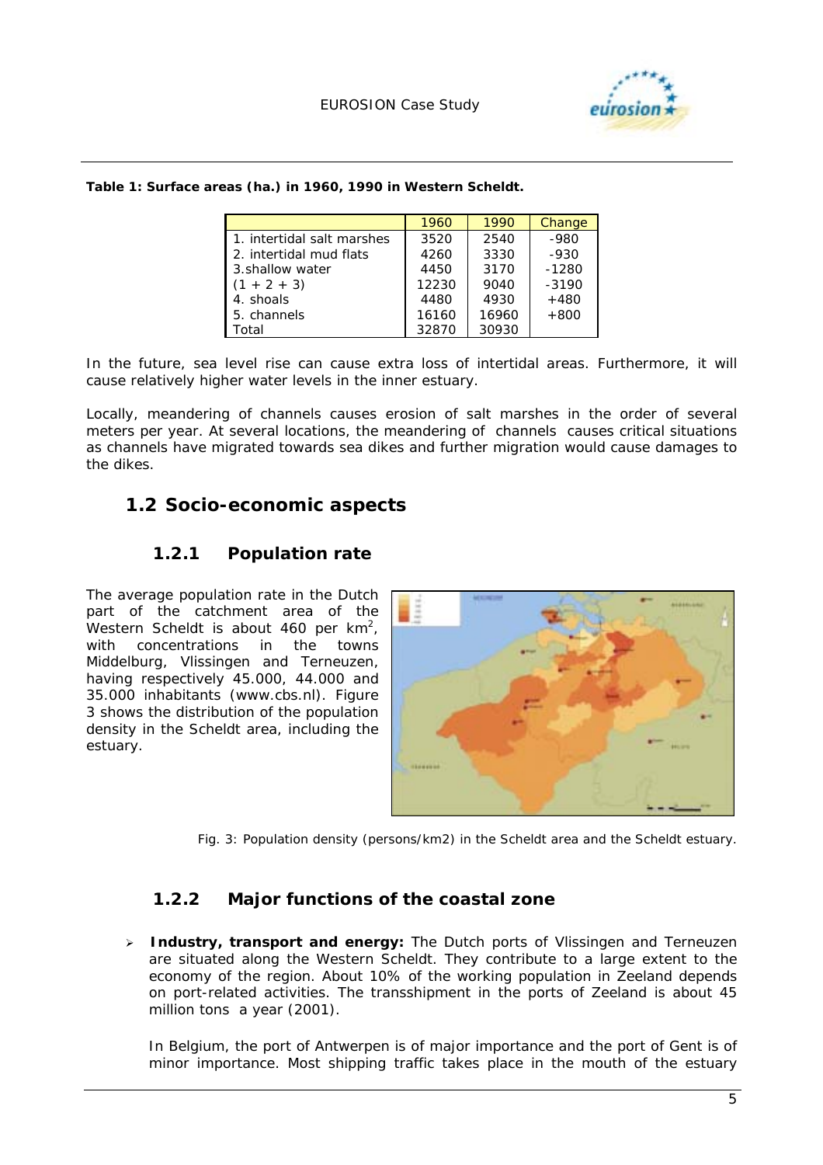

|                            | 1960  | 1990  | Change  |
|----------------------------|-------|-------|---------|
| 1. intertidal salt marshes | 3520  | 2540  | $-980$  |
| 2. intertidal mud flats    | 4260  | 3330  | $-930$  |
| 3. shallow water           | 4450  | 3170  | $-1280$ |
| $(1 + 2 + 3)$              | 12230 | 9040  | $-3190$ |
| 4. shoals                  | 4480  | 4930  | $+480$  |
| 5. channels                | 16160 | 16960 | $+800$  |
| otal.                      | 32870 | 30930 |         |

*Table 1: Surface areas (ha.) in 1960, 1990 in Western Scheldt.* 

In the future, sea level rise can cause extra loss of intertidal areas. Furthermore, it will cause relatively higher water levels in the inner estuary.

Locally, meandering of channels causes erosion of salt marshes in the order of several meters per year. At several locations, the meandering of channels causes critical situations as channels have migrated towards sea dikes and further migration would cause damages to the dikes.

### **1.2 Socio-economic aspects**

### **1.2.1 Population rate**

The average population rate in the Dutch part of the catchment area of the Western Scheldt is about 460 per  $km^2$ , with concentrations in the towns Middelburg, Vlissingen and Terneuzen, having respectively 45.000, 44.000 and 35.000 inhabitants (www.cbs.nl). Figure 3 shows the distribution of the population density in the Scheldt area, including the estuary.



*Fig. 3: Population density (persons/km2) in the Scheldt area and the Scheldt estuary.* 

### **1.2.2 Major functions of the coastal zone**

! **Industry, transport and energy:** The Dutch ports of Vlissingen and Terneuzen are situated along the Western Scheldt. They contribute to a large extent to the economy of the region. About 10% of the working population in Zeeland depends on port-related activities. The transshipment in the ports of Zeeland is about 45 million tons a year (2001).

In Belgium, the port of Antwerpen is of major importance and the port of Gent is of minor importance. Most shipping traffic takes place in the mouth of the estuary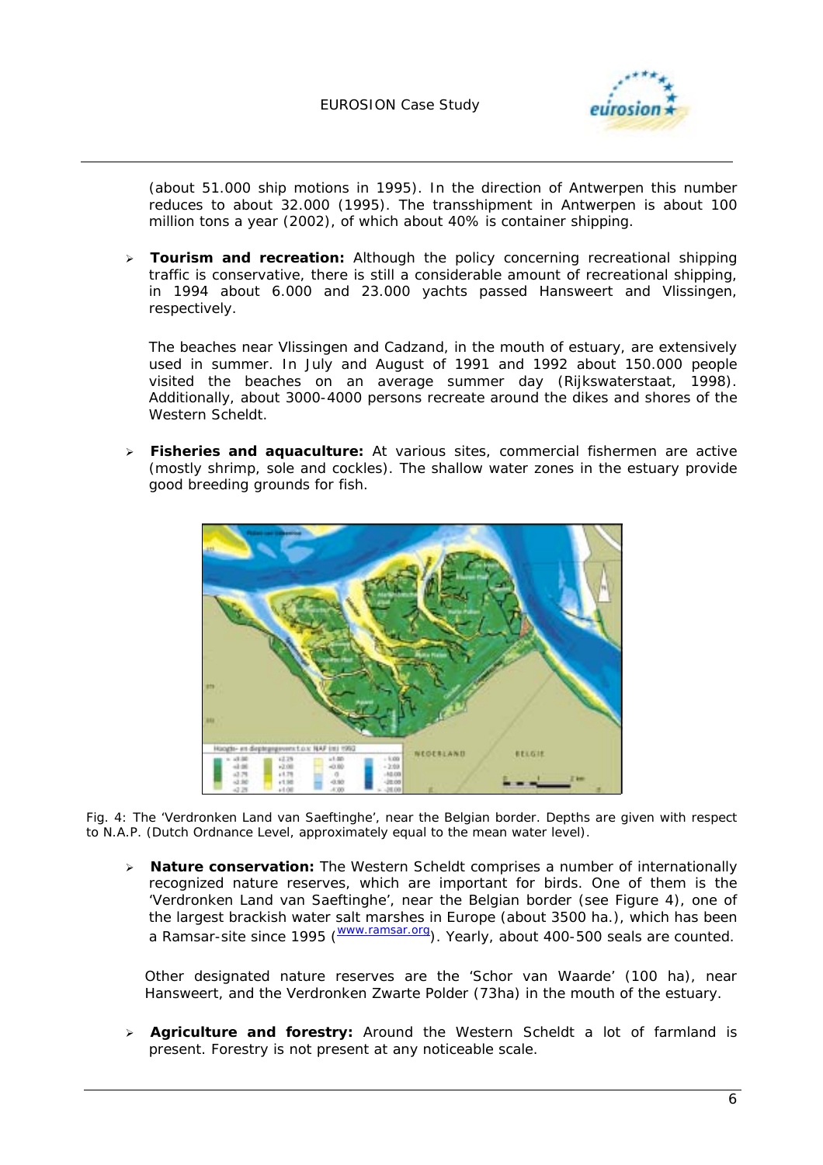

(about 51.000 ship motions in 1995). In the direction of Antwerpen this number reduces to about 32.000 (1995). The transshipment in Antwerpen is about 100 million tons a year (2002), of which about 40% is container shipping.

! **Tourism and recreation:** Although the policy concerning recreational shipping traffic is conservative, there is still a considerable amount of recreational shipping, in 1994 about 6.000 and 23.000 yachts passed Hansweert and Vlissingen, respectively.

The beaches near Vlissingen and Cadzand, in the mouth of estuary, are extensively used in summer. In July and August of 1991 and 1992 about 150.000 people visited the beaches on an average summer day (Rijkswaterstaat, 1998). Additionally, about 3000-4000 persons recreate around the dikes and shores of the Western Scheldt.

! **Fisheries and aquaculture:** At various sites, commercial fishermen are active (mostly shrimp, sole and cockles). The shallow water zones in the estuary provide good breeding grounds for fish.



*Fig. 4: The 'Verdronken Land van Saeftinghe', near the Belgian border. Depths are given with respect to N.A.P. (Dutch Ordnance Level, approximately equal to the mean water level).* 

! **Nature conservation:** The Western Scheldt comprises a number of internationally recognized nature reserves, which are important for birds. One of them is the 'Verdronken Land van Saeftinghe', near the Belgian border (see Figure 4), one of the largest brackish water salt marshes in Europe (about 3500 ha.), which has been a Ramsar-site since 1995 (WWW.ramsar.org). Yearly, about 400-500 seals are counted.

Other designated nature reserves are the 'Schor van Waarde' (100 ha), near Hansweert, and the Verdronken Zwarte Polder (73ha) in the mouth of the estuary.

! **Agriculture and forestry:** Around the Western Scheldt a lot of farmland is present. Forestry is not present at any noticeable scale.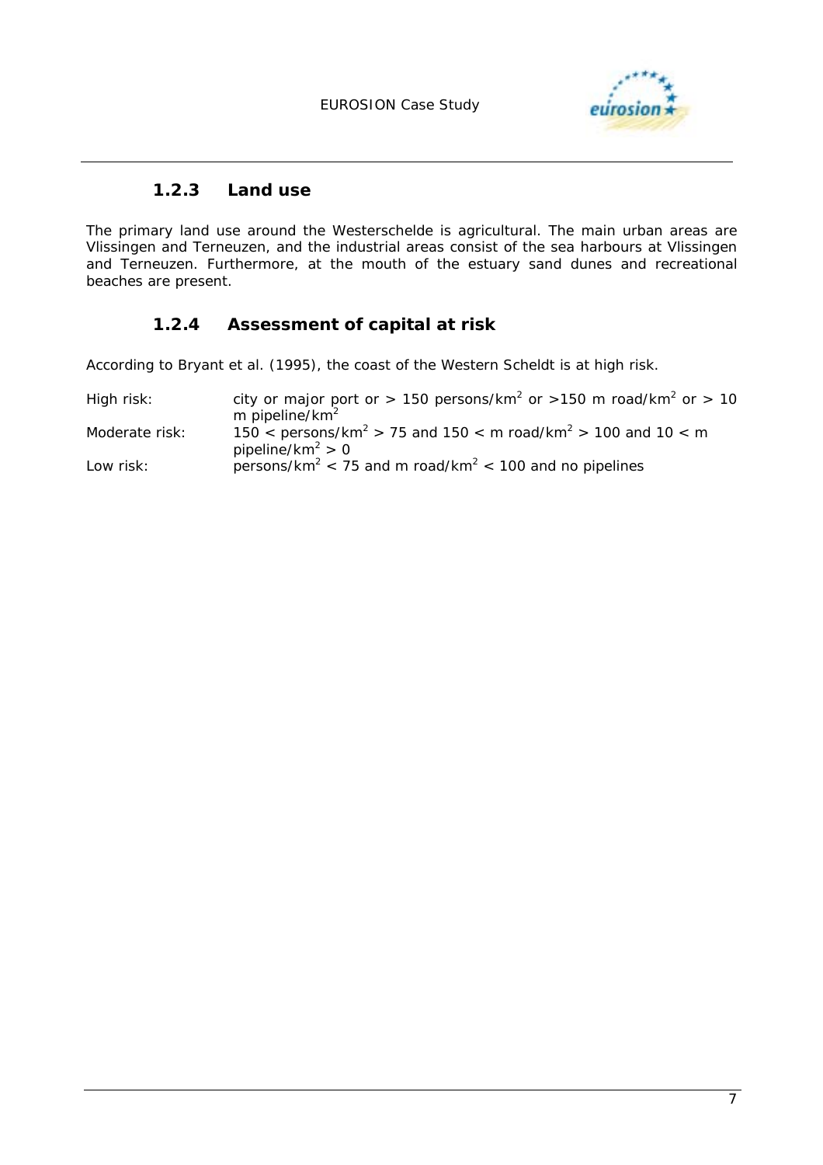

### **1.2.3 Land use**

The primary land use around the Westerschelde is agricultural. The main urban areas are Vlissingen and Terneuzen, and the industrial areas consist of the sea harbours at Vlissingen and Terneuzen. Furthermore, at the mouth of the estuary sand dunes and recreational beaches are present.

### **1.2.4 Assessment of capital at risk**

According to Bryant *et al.* (1995), the coast of the Western Scheldt is at high risk.

| High risk:     | city or major port or > 150 persons/km <sup>2</sup> or > 150 m road/km <sup>2</sup> or > 10<br>m pipeline/ $km^2$    |
|----------------|----------------------------------------------------------------------------------------------------------------------|
| Moderate risk: | 150 < persons/km <sup>2</sup> > 75 and 150 < m road/km <sup>2</sup> > 100 and 10 < m<br>pipeline/km <sup>2</sup> > 0 |
| Low risk:      | persons/km <sup>2</sup> < 75 and m road/km <sup>2</sup> < 100 and no pipelines                                       |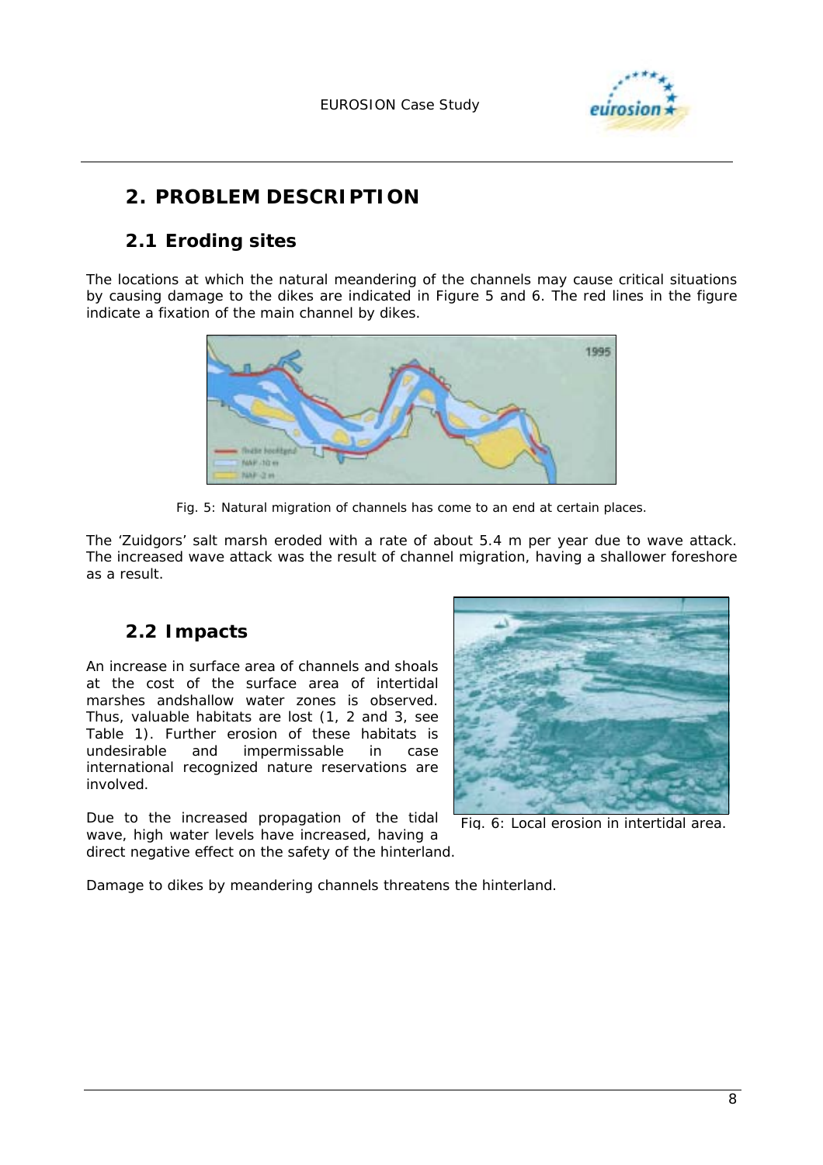

## **2. PROBLEM DESCRIPTION**

## **2.1 Eroding sites**

The locations at which the natural meandering of the channels may cause critical situations by causing damage to the dikes are indicated in Figure 5 and 6. The red lines in the figure indicate a fixation of the main channel by dikes.



*Fig. 5: Natural migration of channels has come to an end at certain places.* 

The 'Zuidgors' salt marsh eroded with a rate of about 5.4 m per year due to wave attack. The increased wave attack was the result of channel migration, having a shallower foreshore as a result.

## **2.2 Impacts**

An increase in surface area of channels and shoals at the cost of the surface area of intertidal marshes andshallow water zones is observed. Thus, valuable habitats are lost (1, 2 and 3, see Table 1). Further erosion of these habitats is undesirable and impermissable in case international recognized nature reservations are involved.

Due to the increased propagation of the tidal wave, high water levels have increased, having a direct negative effect on the safety of the hinterland.



*Fig. 6: Local erosion in intertidal area.*

Damage to dikes by meandering channels threatens the hinterland.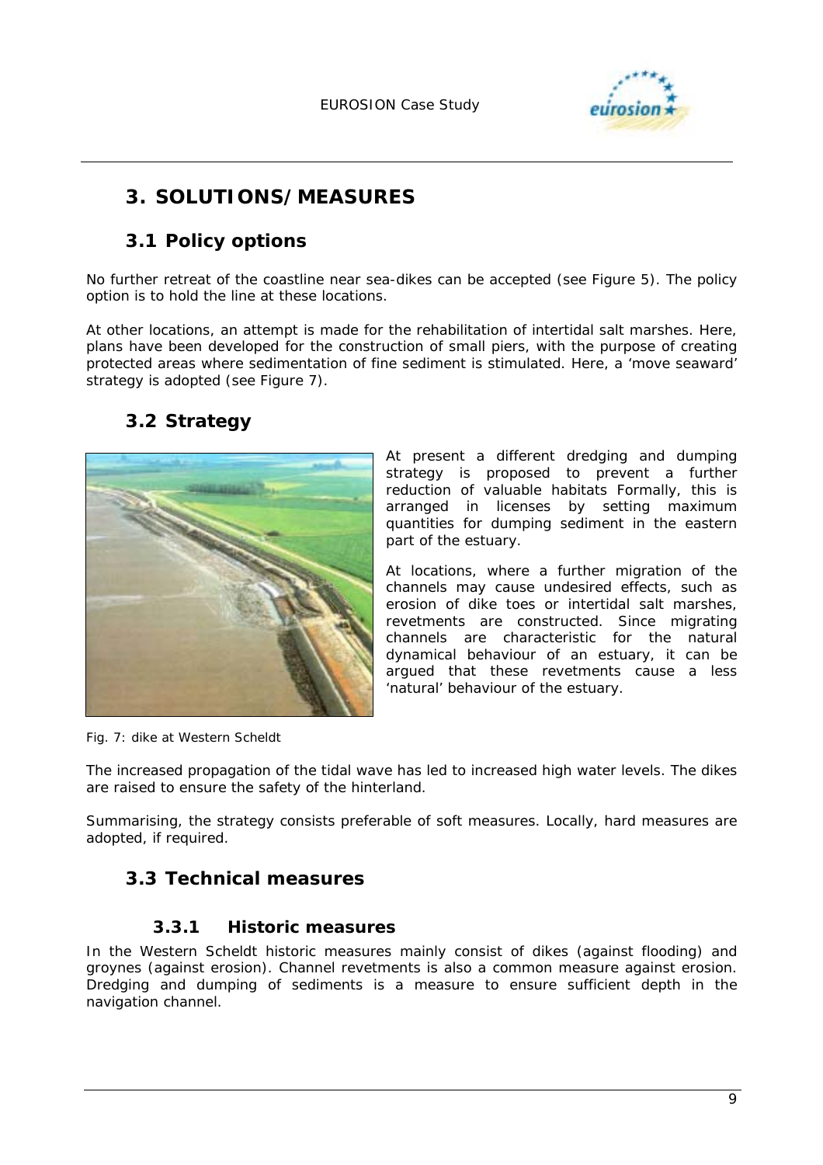

## **3. SOLUTIONS/MEASURES**

## **3.1 Policy options**

No further retreat of the coastline near sea-dikes can be accepted (see Figure 5). The policy option is to hold the line at these locations.

At other locations, an attempt is made for the rehabilitation of intertidal salt marshes. Here, plans have been developed for the construction of small piers, with the purpose of creating protected areas where sedimentation of fine sediment is stimulated. Here, a 'move seaward' strategy is adopted (see Figure 7).

## **3.2 Strategy**



At present a different dredging and dumping strategy is proposed to prevent a further reduction of valuable habitats Formally, this is arranged in licenses by setting maximum quantities for dumping sediment in the eastern part of the estuary.

At locations, where a further migration of the channels may cause undesired effects, such as erosion of dike toes or intertidal salt marshes, revetments are constructed. Since migrating channels are characteristic for the natural dynamical behaviour of an estuary, it can be argued that these revetments cause a less 'natural' behaviour of the estuary.

*Fig. 7: dike at Western Scheldt* 

The increased propagation of the tidal wave has led to increased high water levels. The dikes are raised to ensure the safety of the hinterland.

Summarising, the strategy consists preferable of soft measures. Locally, hard measures are adopted, if required.

## **3.3 Technical measures**

### **3.3.1 Historic measures**

In the Western Scheldt historic measures mainly consist of dikes (against flooding) and groynes (against erosion). Channel revetments is also a common measure against erosion. Dredging and dumping of sediments is a measure to ensure sufficient depth in the navigation channel.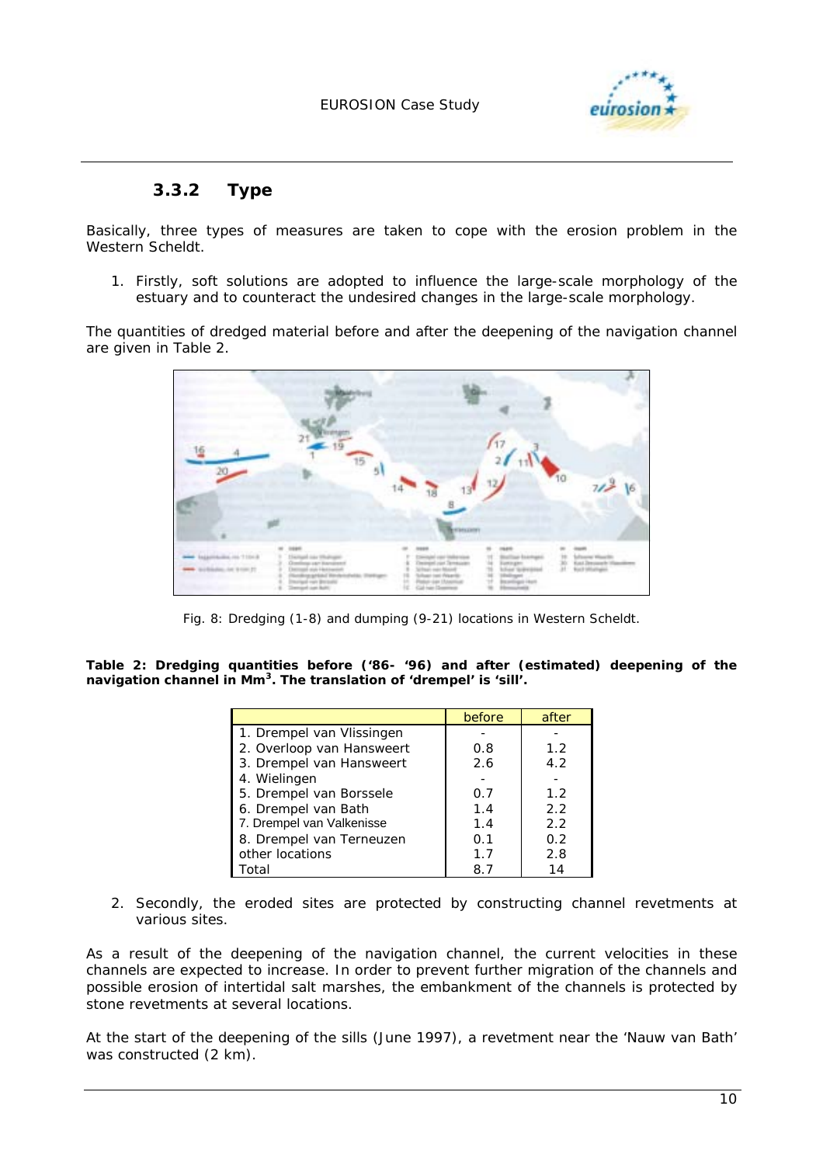

### **3.3.2 Type**

Basically, three types of measures are taken to cope with the erosion problem in the Western Scheldt.

1. Firstly, soft solutions are adopted to influence the large-scale morphology of the estuary and to counteract the undesired changes in the large-scale morphology.

The quantities of dredged material before and after the deepening of the navigation channel are given in Table 2.



*Fig. 8: Dredging (1-8) and dumping (9-21) locations in Western Scheldt.* 

*Table 2: Dredging quantities before ('86- '96) and after (estimated) deepening of the navigation channel in Mm3. The translation of 'drempel' is 'sill'.* 

|                           | before | after |
|---------------------------|--------|-------|
| 1. Drempel van Vlissingen |        |       |
| 2. Overloop van Hansweert | 0.8    | 1.2   |
| 3. Drempel van Hansweert  | 2.6    | 4.2   |
| 4. Wielingen              |        |       |
| 5. Drempel van Borssele   | 0.7    | 1.2   |
| 6. Drempel van Bath       | 1.4    | 2.2   |
| 7. Drempel van Valkenisse | 1.4    | 2.2   |
| 8. Drempel van Terneuzen  | 0.1    | 0.2   |
| other locations           | 1.7    | 2.8   |
| Гоtal                     |        | 14    |

2. Secondly, the eroded sites are protected by constructing channel revetments at various sites.

As a result of the deepening of the navigation channel, the current velocities in these channels are expected to increase. In order to prevent further migration of the channels and possible erosion of intertidal salt marshes, the embankment of the channels is protected by stone revetments at several locations.

At the start of the deepening of the sills (June 1997), a revetment near the 'Nauw van Bath' was constructed (2 km).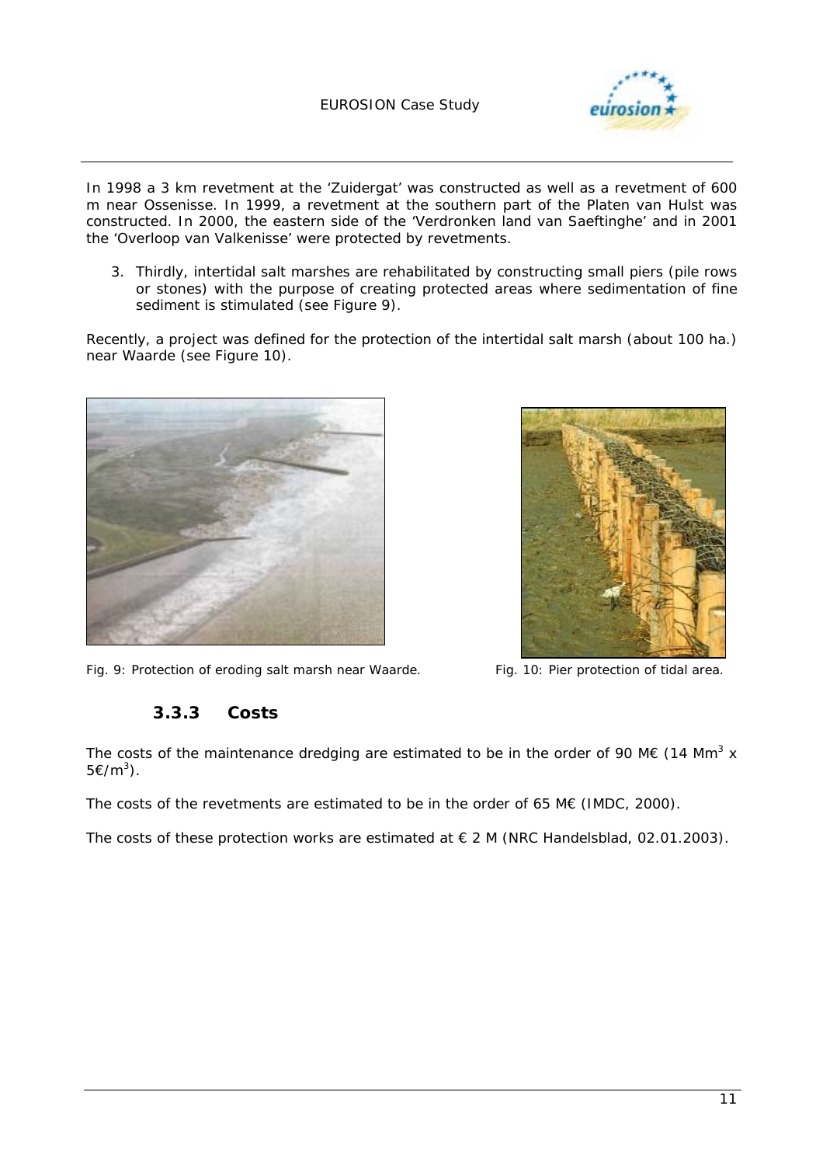

In 1998 a 3 km revetment at the 'Zuidergat' was constructed as well as a revetment of 600 m near Ossenisse. In 1999, a revetment at the southern part of the Platen van Hulst was constructed. In 2000, the eastern side of the 'Verdronken land van Saeftinghe' and in 2001 the 'Overloop van Valkenisse' were protected by revetments.

3. Thirdly, intertidal salt marshes are rehabilitated by constructing small piers (pile rows or stones) with the purpose of creating protected areas where sedimentation of fine sediment is stimulated (see Figure 9).

Recently, a project was defined for the protection of the intertidal salt marsh (about 100 ha.) near Waarde (see Figure 10).





*Fig. 9: Protection of eroding salt marsh near Waarde. Fig. 10: Pier protection of tidal area.* 

### **3.3.3 Costs**

The costs of the maintenance dredging are estimated to be in the order of 90 M€ (14 Mm<sup>3</sup> x 5€/ $m^3$ ).

The costs of the revetments are estimated to be in the order of 65 M $\epsilon$  (IMDC, 2000).

The costs of these protection works are estimated at  $\in$  2 M (NRC Handelsblad, 02.01.2003).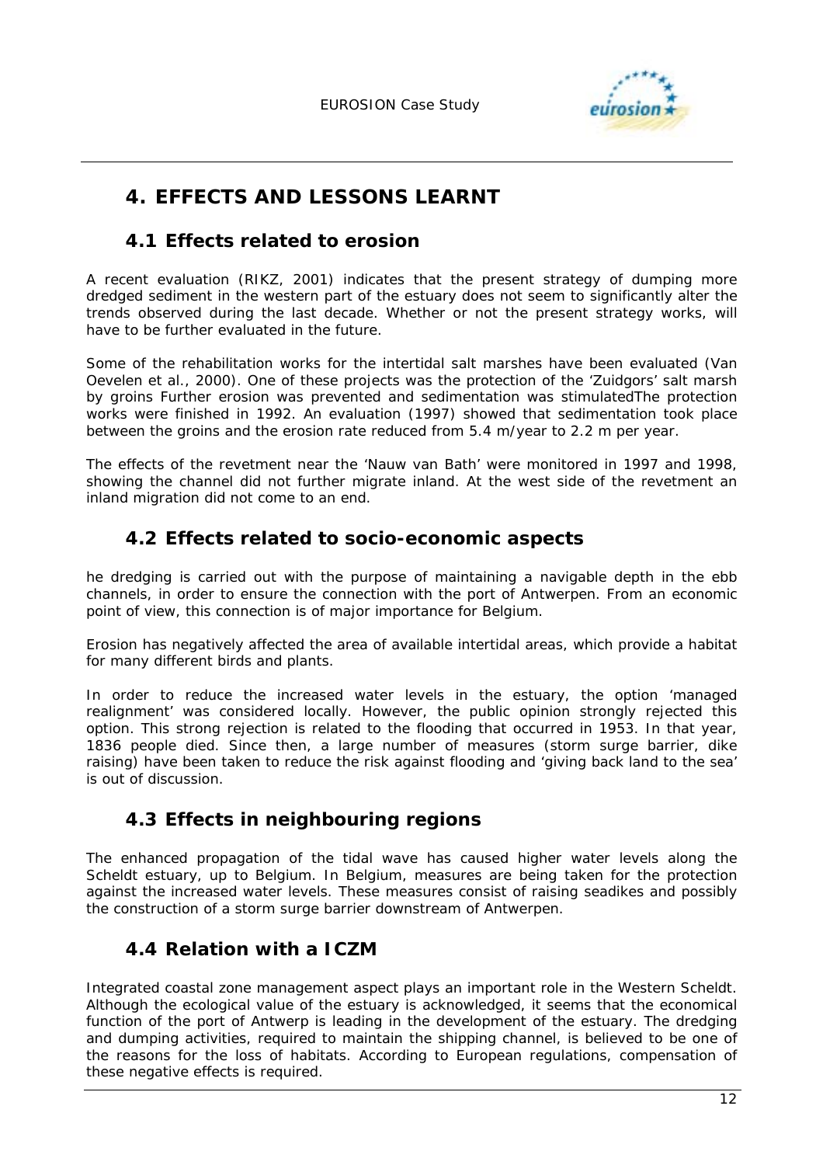

## **4. EFFECTS AND LESSONS LEARNT**

## **4.1 Effects related to erosion**

A recent evaluation (RIKZ, 2001) indicates that the present strategy of dumping more dredged sediment in the western part of the estuary does not seem to significantly alter the trends observed during the last decade. Whether or not the present strategy works, will have to be further evaluated in the future.

Some of the rehabilitation works for the intertidal salt marshes have been evaluated (Van Oevelen *et al.*, 2000). One of these projects was the protection of the 'Zuidgors' salt marsh by groins Further erosion was prevented and sedimentation was stimulatedThe protection works were finished in 1992. An evaluation (1997) showed that sedimentation took place between the groins and the erosion rate reduced from 5.4 m/year to 2.2 m per year.

The effects of the revetment near the 'Nauw van Bath' were monitored in 1997 and 1998, showing the channel did not further migrate inland. At the west side of the revetment an inland migration did not come to an end.

## **4.2 Effects related to socio-economic aspects**

he dredging is carried out with the purpose of maintaining a navigable depth in the ebb channels, in order to ensure the connection with the port of Antwerpen. From an economic point of view, this connection is of major importance for Belgium.

Erosion has negatively affected the area of available intertidal areas, which provide a habitat for many different birds and plants.

In order to reduce the increased water levels in the estuary, the option 'managed realignment' was considered locally. However, the public opinion strongly rejected this option. This strong rejection is related to the flooding that occurred in 1953. In that year, 1836 people died. Since then, a large number of measures (storm surge barrier, dike raising) have been taken to reduce the risk against flooding and 'giving back land to the sea' is out of discussion.

## **4.3 Effects in neighbouring regions**

The enhanced propagation of the tidal wave has caused higher water levels along the Scheldt estuary, up to Belgium. In Belgium, measures are being taken for the protection against the increased water levels. These measures consist of raising seadikes and possibly the construction of a storm surge barrier downstream of Antwerpen.

## **4.4 Relation with a ICZM**

Integrated coastal zone management aspect plays an important role in the Western Scheldt. Although the ecological value of the estuary is acknowledged, it seems that the economical function of the port of Antwerp is leading in the development of the estuary. The dredging and dumping activities, required to maintain the shipping channel, is believed to be one of the reasons for the loss of habitats. According to European regulations, compensation of these negative effects is required.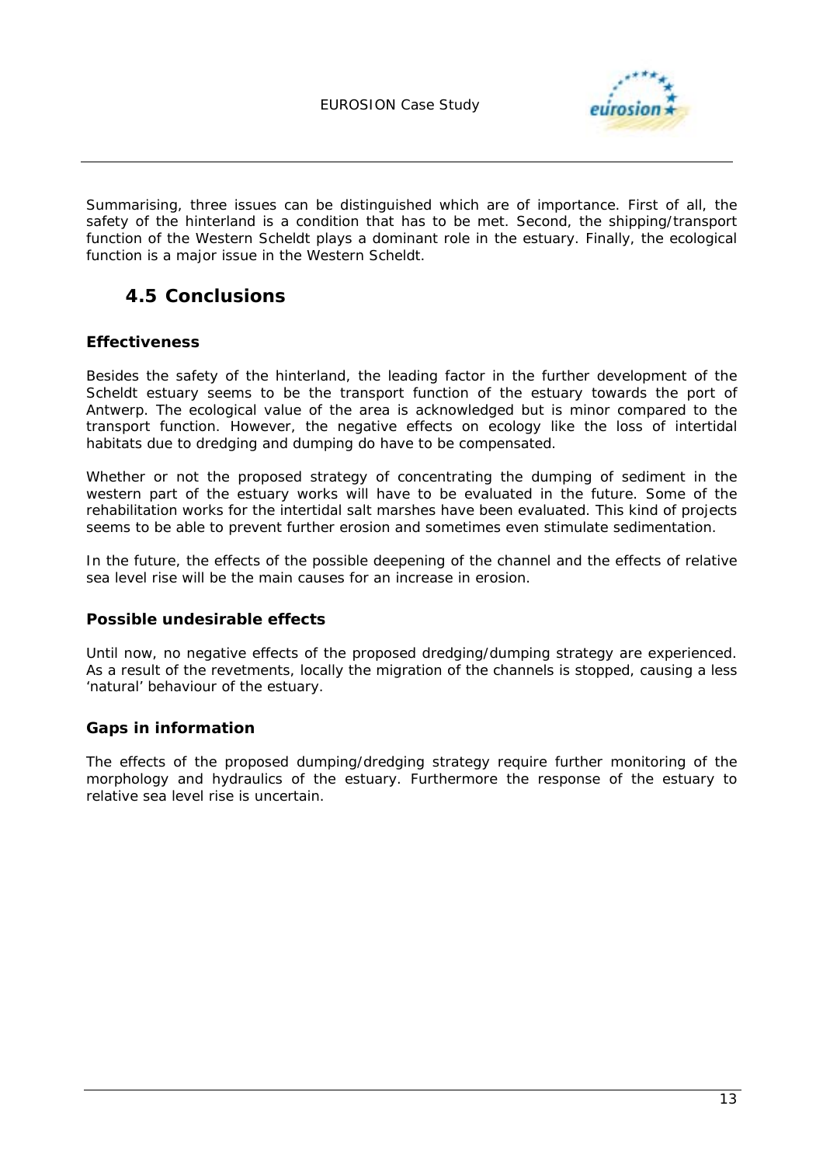

Summarising, three issues can be distinguished which are of importance. First of all, the safety of the hinterland is a condition that has to be met. Second, the shipping/transport function of the Western Scheldt plays a dominant role in the estuary. Finally, the ecological function is a major issue in the Western Scheldt.

## **4.5 Conclusions**

#### **Effectiveness**

Besides the safety of the hinterland, the leading factor in the further development of the Scheldt estuary seems to be the transport function of the estuary towards the port of Antwerp. The ecological value of the area is acknowledged but is minor compared to the transport function. However, the negative effects on ecology like the loss of intertidal habitats due to dredging and dumping do have to be compensated.

Whether or not the proposed strategy of concentrating the dumping of sediment in the western part of the estuary works will have to be evaluated in the future. Some of the rehabilitation works for the intertidal salt marshes have been evaluated. This kind of projects seems to be able to prevent further erosion and sometimes even stimulate sedimentation.

In the future, the effects of the possible deepening of the channel and the effects of relative sea level rise will be the main causes for an increase in erosion.

#### **Possible undesirable effects**

Until now, no negative effects of the proposed dredging/dumping strategy are experienced. As a result of the revetments, locally the migration of the channels is stopped, causing a less 'natural' behaviour of the estuary.

#### **Gaps in information**

The effects of the proposed dumping/dredging strategy require further monitoring of the morphology and hydraulics of the estuary. Furthermore the response of the estuary to relative sea level rise is uncertain.